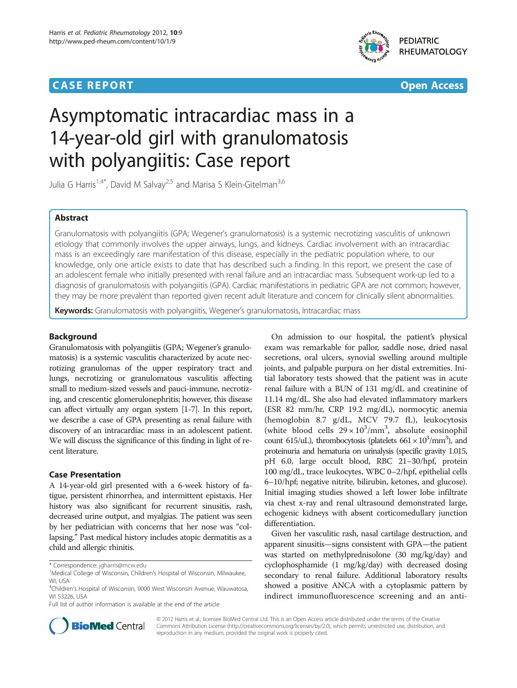# **CASE REPORT CASE ACCESS**



**PEDIATRIC RHEUMATOLOGY** 

# Asymptomatic intracardiac mass in a 14-year-old girl with granulomatosis with polyangiitis: Case report

Julia G Harris<sup>1,4\*</sup>, David M Salvay<sup>2,5</sup> and Marisa S Klein-Gitelman<sup>3,6</sup>

# Abstract

Granulomatosis with polyangiitis (GPA; Wegener's granulomatosis) is a systemic necrotizing vasculitis of unknown etiology that commonly involves the upper airways, lungs, and kidneys. Cardiac involvement with an intracardiac mass is an exceedingly rare manifestation of this disease, especially in the pediatric population where, to our knowledge, only one article exists to date that has described such a finding. In this report, we present the case of an adolescent female who initially presented with renal failure and an intracardiac mass. Subsequent work-up led to a diagnosis of granulomatosis with polyangiitis (GPA). Cardiac manifestations in pediatric GPA are not common; however, they may be more prevalent than reported given recent adult literature and concern for clinically silent abnormalities.

Keywords: Granulomatosis with polyangiitis, Wegener's granulomatosis, Intracardiac mass

# Background

Granulomatosis with polyangiitis (GPA; Wegener's granulomatosis) is a systemic vasculitis characterized by acute necrotizing granulomas of the upper respiratory tract and lungs, necrotizing or granulomatous vasculitis affecting small to medium-sized vessels and pauci-immune, necrotizing, and crescentic glomerulonephritis; however, this disease can affect virtually any organ system [\[1-7\]](#page-3-0). In this report, we describe a case of GPA presenting as renal failure with discovery of an intracardiac mass in an adolescent patient. We will discuss the significance of this finding in light of recent literature.

# Case Presentation

A 14-year-old girl presented with a 6-week history of fatigue, persistent rhinorrhea, and intermittent epistaxis. Her history was also significant for recurrent sinusitis, rash, decreased urine output, and myalgias. The patient was seen by her pediatrician with concerns that her nose was "collapsing." Past medical history includes atopic dermatitis as a child and allergic rhinitis.

Full list of author information is available at the end of the article

On admission to our hospital, the patient's physical exam was remarkable for pallor, saddle nose, dried nasal secretions, oral ulcers, synovial swelling around multiple joints, and palpable purpura on her distal extremities. Initial laboratory tests showed that the patient was in acute renal failure with a BUN of 131 mg/dL and creatinine of 11.14 mg/dL. She also had elevated inflammatory markers (ESR 82 mm/hr, CRP 19.2 mg/dL), normocytic anemia (hemoglobin 8.7 g/dL, MCV 79.7 fL), leukocytosis (white blood cells  $29 \times 10^3/\text{mm}^3$ , absolute eosinophil count 615/uL), thrombocytosis (platelets  $661 \times 10^3/\text{mm}^3$ ), and proteinuria and hematuria on urinalysis (specific gravity 1.015, pH 6.0, large occult blood, RBC 21–30/hpf, protein 100 mg/dL, trace leukocytes, WBC 0–2/hpf, epithelial cells 6–10/hpf; negative nitrite, bilirubin, ketones, and glucose). Initial imaging studies showed a left lower lobe infiltrate via chest x-ray and renal ultrasound demonstrated large, echogenic kidneys with absent corticomedullary junction differentiation.

Given her vasculitic rash, nasal cartilage destruction, and apparent sinusitis—signs consistent with GPA—the patient was started on methylprednisolone (30 mg/kg/day) and cyclophosphamide (1 mg/kg/day) with decreased dosing secondary to renal failure. Additional laboratory results showed a positive ANCA with a cytoplasmic pattern by indirect immunofluorescence screening and an anti-



© 2012 Harris et al.; licensee BioMed Central Ltd. This is an Open Access article distributed under the terms of the Creative Commons Attribution License (http://creativecommons.org/licenses/by/2.0), which permits unrestricted use, distribution, and reproduction in any medium, provided the original work is properly cited.

<sup>\*</sup> Correspondence: [jgharris@mcw.edu](mailto:jgharris@mcw.edu) <sup>1</sup>

<sup>&</sup>lt;sup>1</sup>Medical College of Wisconsin, Children's Hospital of Wisconsin, Milwaukee, WI, USA

<sup>4</sup> Children's Hospital of Wisconsin, 9000 West Wisconsin Avenue, Wauwatosa, WI 53226, USA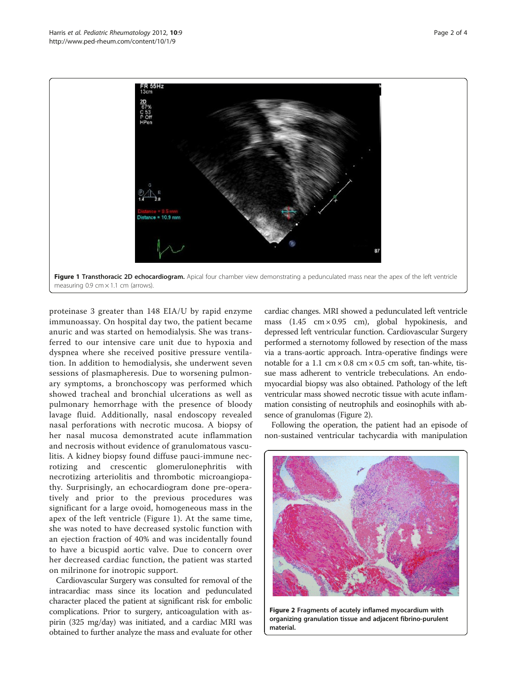

proteinase 3 greater than 148 EIA/U by rapid enzyme immunoassay. On hospital day two, the patient became anuric and was started on hemodialysis. She was transferred to our intensive care unit due to hypoxia and dyspnea where she received positive pressure ventilation. In addition to hemodialysis, she underwent seven sessions of plasmapheresis. Due to worsening pulmonary symptoms, a bronchoscopy was performed which showed tracheal and bronchial ulcerations as well as pulmonary hemorrhage with the presence of bloody lavage fluid. Additionally, nasal endoscopy revealed nasal perforations with necrotic mucosa. A biopsy of her nasal mucosa demonstrated acute inflammation and necrosis without evidence of granulomatous vasculitis. A kidney biopsy found diffuse pauci-immune necrotizing and crescentic glomerulonephritis with necrotizing arteriolitis and thrombotic microangiopathy. Surprisingly, an echocardiogram done pre-operatively and prior to the previous procedures was significant for a large ovoid, homogeneous mass in the apex of the left ventricle (Figure 1). At the same time, she was noted to have decreased systolic function with an ejection fraction of 40% and was incidentally found to have a bicuspid aortic valve. Due to concern over her decreased cardiac function, the patient was started on milrinone for inotropic support.

Cardiovascular Surgery was consulted for removal of the intracardiac mass since its location and pedunculated character placed the patient at significant risk for embolic complications. Prior to surgery, anticoagulation with aspirin (325 mg/day) was initiated, and a cardiac MRI was obtained to further analyze the mass and evaluate for other

cardiac changes. MRI showed a pedunculated left ventricle mass  $(1.45 \text{ cm} \times 0.95 \text{ cm})$ , global hypokinesis, and depressed left ventricular function. Cardiovascular Surgery performed a sternotomy followed by resection of the mass via a trans-aortic approach. Intra-operative findings were notable for a 1.1 cm  $\times$  0.8 cm  $\times$  0.5 cm soft, tan-white, tissue mass adherent to ventricle trebeculations. An endomyocardial biopsy was also obtained. Pathology of the left ventricular mass showed necrotic tissue with acute inflammation consisting of neutrophils and eosinophils with absence of granulomas (Figure 2).

Following the operation, the patient had an episode of non-sustained ventricular tachycardia with manipulation



Figure 2 Fragments of acutely inflamed myocardium with organizing granulation tissue and adjacent fibrino-purulent material.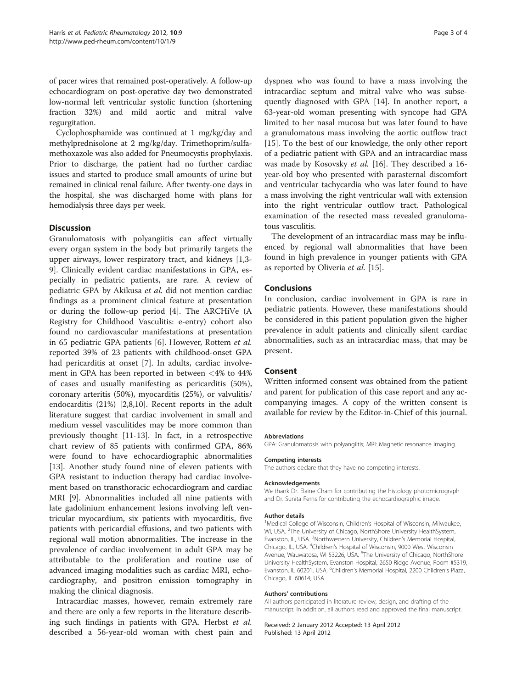of pacer wires that remained post-operatively. A follow-up echocardiogram on post-operative day two demonstrated low-normal left ventricular systolic function (shortening fraction 32%) and mild aortic and mitral valve regurgitation.

Cyclophosphamide was continued at 1 mg/kg/day and methylprednisolone at 2 mg/kg/day. Trimethoprim/sulfamethoxazole was also added for Pneumocystis prophylaxis. Prior to discharge, the patient had no further cardiac issues and started to produce small amounts of urine but remained in clinical renal failure. After twenty-one days in the hospital, she was discharged home with plans for hemodialysis three days per week.

# **Discussion**

Granulomatosis with polyangiitis can affect virtually every organ system in the body but primarily targets the upper airways, lower respiratory tract, and kidneys [\[1,3-](#page-3-0) [9\]](#page-3-0). Clinically evident cardiac manifestations in GPA, especially in pediatric patients, are rare. A review of pediatric GPA by Akikusa et al. did not mention cardiac findings as a prominent clinical feature at presentation or during the follow-up period [\[4](#page-3-0)]. The ARCHiVe (A Registry for Childhood Vasculitis: e-entry) cohort also found no cardiovascular manifestations at presentation in 65 pediatric GPA patients [\[6](#page-3-0)]. However, Rottem et al. reported 39% of 23 patients with childhood-onset GPA had pericarditis at onset [[7](#page-3-0)]. In adults, cardiac involvement in GPA has been reported in between <4% to 44% of cases and usually manifesting as pericarditis (50%), coronary arteritis (50%), myocarditis (25%), or valvulitis/ endocarditis (21%) [\[2,8,10](#page-3-0)]. Recent reports in the adult literature suggest that cardiac involvement in small and medium vessel vasculitides may be more common than previously thought [\[11](#page-3-0)-[13](#page-3-0)]. In fact, in a retrospective chart review of 85 patients with confirmed GPA, 86% were found to have echocardiographic abnormalities [[13\]](#page-3-0). Another study found nine of eleven patients with GPA resistant to induction therapy had cardiac involvement based on transthoracic echocardiogram and cardiac MRI [[9\]](#page-3-0). Abnormalities included all nine patients with late gadolinium enhancement lesions involving left ventricular myocardium, six patients with myocarditis, five patients with pericardial effusions, and two patients with regional wall motion abnormalities. The increase in the prevalence of cardiac involvement in adult GPA may be attributable to the proliferation and routine use of advanced imaging modalities such as cardiac MRI, echocardiography, and positron emission tomography in making the clinical diagnosis.

Intracardiac masses, however, remain extremely rare and there are only a few reports in the literature describing such findings in patients with GPA. Herbst et al. described a 56-year-old woman with chest pain and

dyspnea who was found to have a mass involving the intracardiac septum and mitral valve who was subsequently diagnosed with GPA [[14\]](#page-3-0). In another report, a 63-year-old woman presenting with syncope had GPA limited to her nasal mucosa but was later found to have a granulomatous mass involving the aortic outflow tract [[15\]](#page-3-0). To the best of our knowledge, the only other report of a pediatric patient with GPA and an intracardiac mass was made by Kosovsky et al. [\[16\]](#page-3-0). They described a 16 year-old boy who presented with parasternal discomfort and ventricular tachycardia who was later found to have a mass involving the right ventricular wall with extension into the right ventricular outflow tract. Pathological examination of the resected mass revealed granulomatous vasculitis.

The development of an intracardiac mass may be influenced by regional wall abnormalities that have been found in high prevalence in younger patients with GPA as reported by Oliveria et al. [\[15](#page-3-0)].

## **Conclusions**

In conclusion, cardiac involvement in GPA is rare in pediatric patients. However, these manifestations should be considered in this patient population given the higher prevalence in adult patients and clinically silent cardiac abnormalities, such as an intracardiac mass, that may be present.

# Consent

Written informed consent was obtained from the patient and parent for publication of this case report and any accompanying images. A copy of the written consent is available for review by the Editor-in-Chief of this journal.

#### Abbreviations

GPA: Granulomatosis with polyangiitis; MRI: Magnetic resonance imaging.

#### Competing interests

The authors declare that they have no competing interests.

#### Acknowledgements

We thank Dr. Elaine Cham for contributing the histology photomicrograph and Dr. Sunita Ferns for contributing the echocardiographic image.

#### Author details

<sup>1</sup>Medical College of Wisconsin, Children's Hospital of Wisconsin, Milwaukee, WI, USA. <sup>2</sup>The University of Chicago, NorthShore University HealthSystem Evanston, IL, USA. <sup>3</sup>Northwestern University, Children's Memorial Hospital Chicago, IL, USA. <sup>4</sup>Children's Hospital of Wisconsin, 9000 West Wisconsin Avenue, Wauwatosa, WI 53226, USA. <sup>5</sup>The University of Chicago, NorthShore University HealthSystem, Evanston Hospital, 2650 Ridge Avenue, Room #5319, Evanston, IL 60201, USA. <sup>6</sup>Children's Memorial Hospital, 2200 Children's Plaza, Chicago, IL 60614, USA.

#### Authors' contributions

All authors participated in literature review, design, and drafting of the manuscript. In addition, all authors read and approved the final manuscript.

#### Received: 2 January 2012 Accepted: 13 April 2012 Published: 13 April 2012